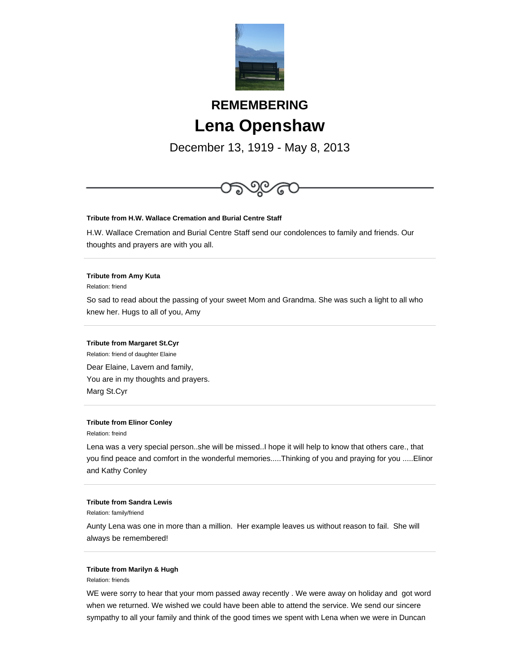

# **REMEMBERING Lena Openshaw**

December 13, 1919 - May 8, 2013



# **Tribute from H.W. Wallace Cremation and Burial Centre Staff**

H.W. Wallace Cremation and Burial Centre Staff send our condolences to family and friends. Our thoughts and prayers are with you all.

### **Tribute from Amy Kuta**

Relation: friend

So sad to read about the passing of your sweet Mom and Grandma. She was such a light to all who knew her. Hugs to all of you, Amy

#### **Tribute from Margaret St.Cyr**

Relation: friend of daughter Elaine Dear Elaine, Lavern and family, You are in my thoughts and prayers. Marg St.Cyr

#### **Tribute from Elinor Conley**

Relation: freind

Lena was a very special person..she will be missed..I hope it will help to know that others care., that you find peace and comfort in the wonderful memories.....Thinking of you and praying for you .....Elinor and Kathy Conley

#### **Tribute from Sandra Lewis**

Relation: family/friend

Aunty Lena was one in more than a million. Her example leaves us without reason to fail. She will always be remembered!

## **Tribute from Marilyn & Hugh**

Relation: friends

WE were sorry to hear that your mom passed away recently . We were away on holiday and got word when we returned. We wished we could have been able to attend the service. We send our sincere sympathy to all your family and think of the good times we spent with Lena when we were in Duncan